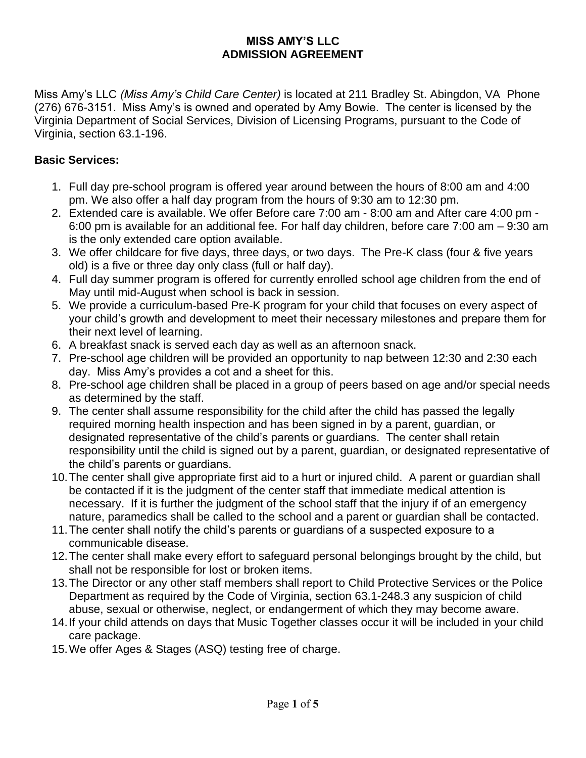#### **MISS AMY'S LLC ADMISSION AGREEMENT**

Miss Amy's LLC *(Miss Amy's Child Care Center)* is located at 211 Bradley St. Abingdon, VA Phone (276) 676-3151. Miss Amy's is owned and operated by Amy Bowie. The center is licensed by the Virginia Department of Social Services, Division of Licensing Programs, pursuant to the Code of Virginia, section 63.1-196.

### **Basic Services:**

- 1. Full day pre-school program is offered year around between the hours of 8:00 am and 4:00 pm. We also offer a half day program from the hours of 9:30 am to 12:30 pm.
- 2. Extended care is available. We offer Before care 7:00 am 8:00 am and After care 4:00 pm 6:00 pm is available for an additional fee. For half day children, before care 7:00 am – 9:30 am is the only extended care option available.
- 3. We offer childcare for five days, three days, or two days. The Pre-K class (four & five years old) is a five or three day only class (full or half day).
- 4. Full day summer program is offered for currently enrolled school age children from the end of May until mid-August when school is back in session.
- 5. We provide a curriculum-based Pre-K program for your child that focuses on every aspect of your child's growth and development to meet their necessary milestones and prepare them for their next level of learning.
- 6. A breakfast snack is served each day as well as an afternoon snack.
- 7. Pre-school age children will be provided an opportunity to nap between 12:30 and 2:30 each day. Miss Amy's provides a cot and a sheet for this.
- 8. Pre-school age children shall be placed in a group of peers based on age and/or special needs as determined by the staff.
- 9. The center shall assume responsibility for the child after the child has passed the legally required morning health inspection and has been signed in by a parent, guardian, or designated representative of the child's parents or guardians. The center shall retain responsibility until the child is signed out by a parent, guardian, or designated representative of the child's parents or guardians.
- 10.The center shall give appropriate first aid to a hurt or injured child. A parent or guardian shall be contacted if it is the judgment of the center staff that immediate medical attention is necessary. If it is further the judgment of the school staff that the injury if of an emergency nature, paramedics shall be called to the school and a parent or guardian shall be contacted.
- 11.The center shall notify the child's parents or guardians of a suspected exposure to a communicable disease.
- 12.The center shall make every effort to safeguard personal belongings brought by the child, but shall not be responsible for lost or broken items.
- 13.The Director or any other staff members shall report to Child Protective Services or the Police Department as required by the Code of Virginia, section 63.1-248.3 any suspicion of child abuse, sexual or otherwise, neglect, or endangerment of which they may become aware.
- 14.If your child attends on days that Music Together classes occur it will be included in your child care package.
- 15.We offer Ages & Stages (ASQ) testing free of charge.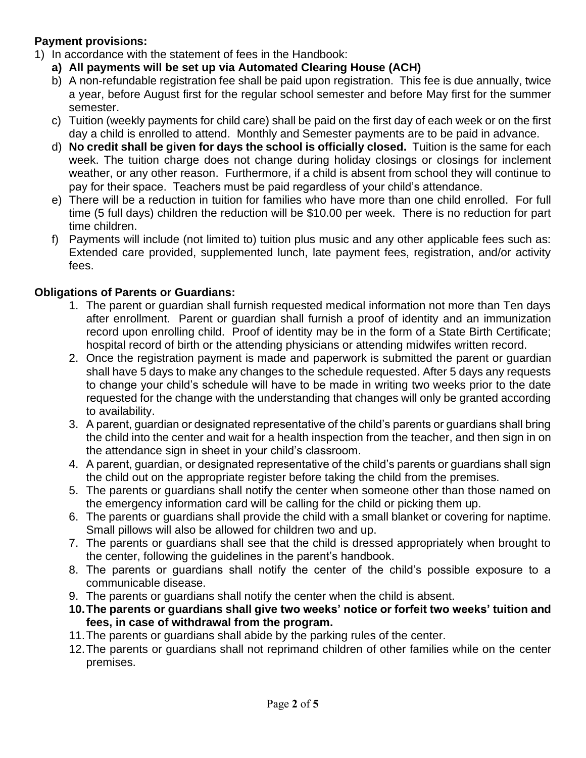# **Payment provisions:**

- 1) In accordance with the statement of fees in the Handbook:
	- **a) All payments will be set up via Automated Clearing House (ACH)**
	- b) A non-refundable registration fee shall be paid upon registration. This fee is due annually, twice a year, before August first for the regular school semester and before May first for the summer semester.
	- c) Tuition (weekly payments for child care) shall be paid on the first day of each week or on the first day a child is enrolled to attend. Monthly and Semester payments are to be paid in advance.
	- d) **No credit shall be given for days the school is officially closed.** Tuition is the same for each week. The tuition charge does not change during holiday closings or closings for inclement weather, or any other reason. Furthermore, if a child is absent from school they will continue to pay for their space. Teachers must be paid regardless of your child's attendance.
	- e) There will be a reduction in tuition for families who have more than one child enrolled. For full time (5 full days) children the reduction will be \$10.00 per week. There is no reduction for part time children.
	- f) Payments will include (not limited to) tuition plus music and any other applicable fees such as: Extended care provided, supplemented lunch, late payment fees, registration, and/or activity fees.

# **Obligations of Parents or Guardians:**

- 1. The parent or guardian shall furnish requested medical information not more than Ten days after enrollment. Parent or guardian shall furnish a proof of identity and an immunization record upon enrolling child. Proof of identity may be in the form of a State Birth Certificate; hospital record of birth or the attending physicians or attending midwifes written record.
- 2. Once the registration payment is made and paperwork is submitted the parent or guardian shall have 5 days to make any changes to the schedule requested. After 5 days any requests to change your child's schedule will have to be made in writing two weeks prior to the date requested for the change with the understanding that changes will only be granted according to availability.
- 3. A parent, guardian or designated representative of the child's parents or guardians shall bring the child into the center and wait for a health inspection from the teacher, and then sign in on the attendance sign in sheet in your child's classroom.
- 4. A parent, guardian, or designated representative of the child's parents or guardians shall sign the child out on the appropriate register before taking the child from the premises.
- 5. The parents or guardians shall notify the center when someone other than those named on the emergency information card will be calling for the child or picking them up.
- 6. The parents or guardians shall provide the child with a small blanket or covering for naptime. Small pillows will also be allowed for children two and up.
- 7. The parents or guardians shall see that the child is dressed appropriately when brought to the center, following the guidelines in the parent's handbook.
- 8. The parents or guardians shall notify the center of the child's possible exposure to a communicable disease.
- 9. The parents or guardians shall notify the center when the child is absent.
- **10.The parents or guardians shall give two weeks' notice or forfeit two weeks' tuition and fees, in case of withdrawal from the program.**
- 11.The parents or guardians shall abide by the parking rules of the center.
- 12.The parents or guardians shall not reprimand children of other families while on the center premises.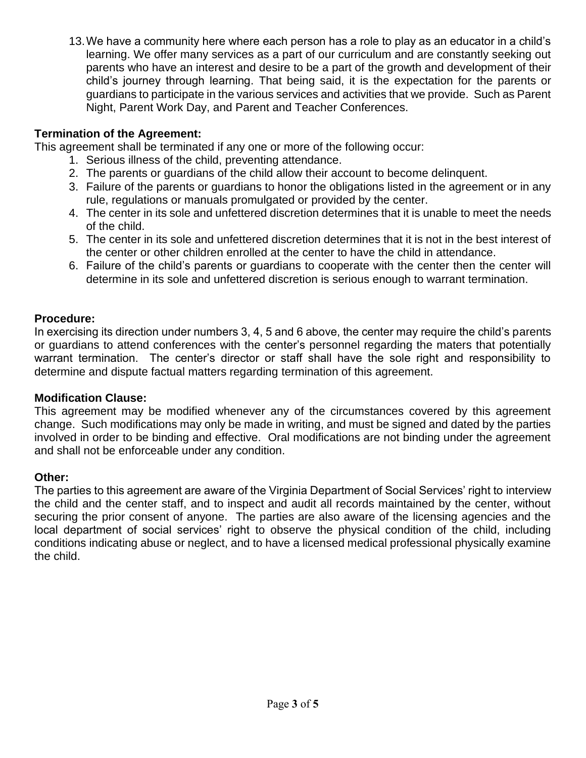13.We have a community here where each person has a role to play as an educator in a child's learning. We offer many services as a part of our curriculum and are constantly seeking out parents who have an interest and desire to be a part of the growth and development of their child's journey through learning. That being said, it is the expectation for the parents or guardians to participate in the various services and activities that we provide. Such as Parent Night, Parent Work Day, and Parent and Teacher Conferences.

## **Termination of the Agreement:**

This agreement shall be terminated if any one or more of the following occur:

- 1. Serious illness of the child, preventing attendance.
- 2. The parents or guardians of the child allow their account to become delinquent.
- 3. Failure of the parents or guardians to honor the obligations listed in the agreement or in any rule, regulations or manuals promulgated or provided by the center.
- 4. The center in its sole and unfettered discretion determines that it is unable to meet the needs of the child.
- 5. The center in its sole and unfettered discretion determines that it is not in the best interest of the center or other children enrolled at the center to have the child in attendance.
- 6. Failure of the child's parents or guardians to cooperate with the center then the center will determine in its sole and unfettered discretion is serious enough to warrant termination.

#### **Procedure:**

In exercising its direction under numbers 3, 4, 5 and 6 above, the center may require the child's parents or guardians to attend conferences with the center's personnel regarding the maters that potentially warrant termination. The center's director or staff shall have the sole right and responsibility to determine and dispute factual matters regarding termination of this agreement.

#### **Modification Clause:**

This agreement may be modified whenever any of the circumstances covered by this agreement change. Such modifications may only be made in writing, and must be signed and dated by the parties involved in order to be binding and effective. Oral modifications are not binding under the agreement and shall not be enforceable under any condition.

#### **Other:**

The parties to this agreement are aware of the Virginia Department of Social Services' right to interview the child and the center staff, and to inspect and audit all records maintained by the center, without securing the prior consent of anyone. The parties are also aware of the licensing agencies and the local department of social services' right to observe the physical condition of the child, including conditions indicating abuse or neglect, and to have a licensed medical professional physically examine the child.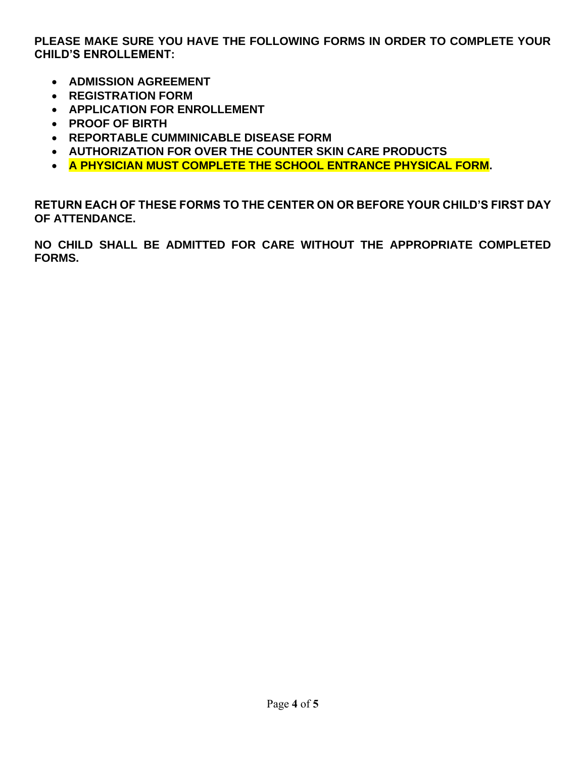**PLEASE MAKE SURE YOU HAVE THE FOLLOWING FORMS IN ORDER TO COMPLETE YOUR CHILD'S ENROLLEMENT:**

- **ADMISSION AGREEMENT**
- **REGISTRATION FORM**
- **APPLICATION FOR ENROLLEMENT**
- **PROOF OF BIRTH**
- **REPORTABLE CUMMINICABLE DISEASE FORM**
- **AUTHORIZATION FOR OVER THE COUNTER SKIN CARE PRODUCTS**
- **A PHYSICIAN MUST COMPLETE THE SCHOOL ENTRANCE PHYSICAL FORM.**

**RETURN EACH OF THESE FORMS TO THE CENTER ON OR BEFORE YOUR CHILD'S FIRST DAY OF ATTENDANCE.**

**NO CHILD SHALL BE ADMITTED FOR CARE WITHOUT THE APPROPRIATE COMPLETED FORMS.**